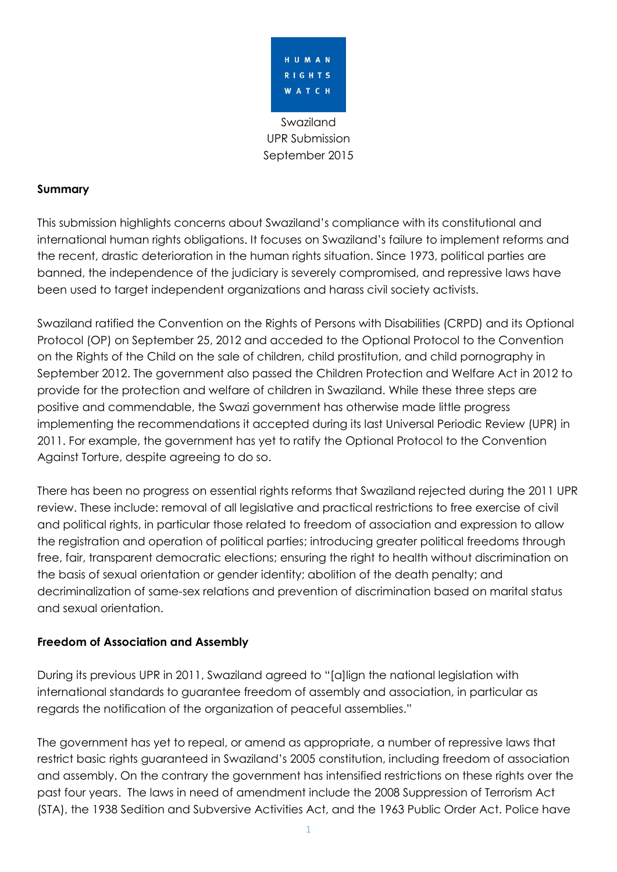

Swaziland UPR Submission September 2015

## **Summary**

This submission highlights concerns about Swaziland's compliance with its constitutional and international human rights obligations. It focuses on Swaziland's failure to implement reforms and the recent, drastic deterioration in the human rights situation. Since 1973, political parties are banned, the independence of the judiciary is severely compromised, and repressive laws have been used to target independent organizations and harass civil society activists.

Swaziland ratified the Convention on the Rights of Persons with Disabilities (CRPD) and its Optional Protocol (OP) on September 25, 2012 and acceded to the Optional Protocol to the Convention on the Rights of the Child on the sale of children, child prostitution, and child pornography in September 2012. The government also passed the Children Protection and Welfare Act in 2012 to provide for the protection and welfare of children in Swaziland. While these three steps are positive and commendable, the Swazi government has otherwise made little progress implementing the recommendations it accepted during its last Universal Periodic Review (UPR) in 2011. For example, the government has yet to ratify the Optional Protocol to the Convention Against Torture, despite agreeing to do so.

There has been no progress on essential rights reforms that Swaziland rejected during the 2011 UPR review. These include: removal of all legislative and practical restrictions to free exercise of civil and political rights, in particular those related to freedom of association and expression to allow the registration and operation of political parties; introducing greater political freedoms through free, fair, transparent democratic elections; ensuring the right to health without discrimination on the basis of sexual orientation or gender identity; abolition of the death penalty; and decriminalization of same-sex relations and prevention of discrimination based on marital status and sexual orientation.

# **Freedom of Association and Assembly**

During its previous UPR in 2011, Swaziland agreed to "[a]lign the national legislation with international standards to guarantee freedom of assembly and association, in particular as regards the notification of the organization of peaceful assemblies."

The government has yet to repeal, or amend as appropriate, a number of repressive laws that restrict basic rights guaranteed in Swaziland's 2005 constitution, including freedom of association and assembly. On the contrary the government has intensified restrictions on these rights over the past four years. The laws in need of amendment include the 2008 Suppression of Terrorism Act (STA), the 1938 Sedition and Subversive Activities Act, and the 1963 Public Order Act. Police have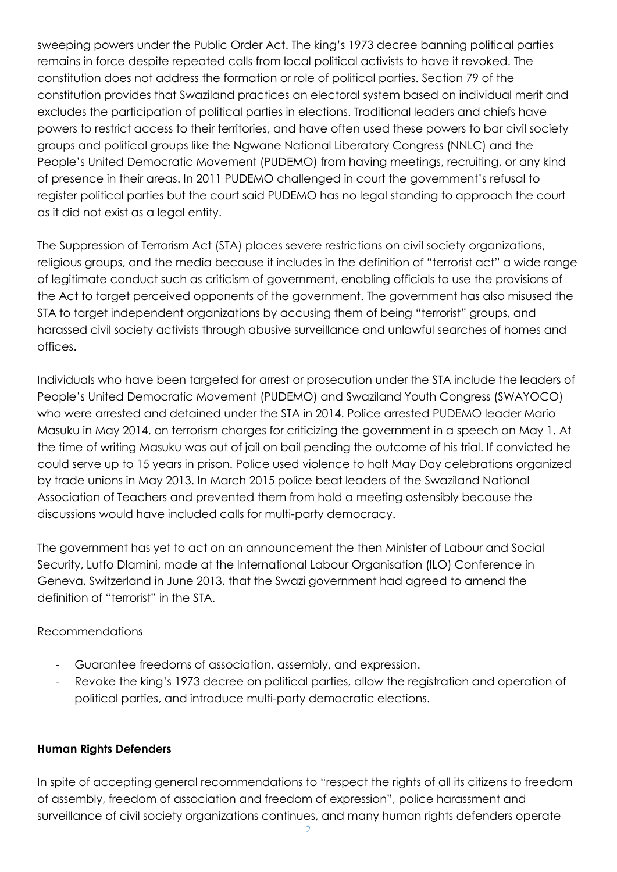sweeping powers under the Public Order Act. The king's 1973 decree banning political parties remains in force despite repeated calls from local political activists to have it revoked. The constitution does not address the formation or role of political parties. Section 79 of the constitution provides that Swaziland practices an electoral system based on individual merit and excludes the participation of political parties in elections. Traditional leaders and chiefs have powers to restrict access to their territories, and have often used these powers to bar civil society groups and political groups like the Ngwane National Liberatory Congress (NNLC) and the People's United Democratic Movement (PUDEMO) from having meetings, recruiting, or any kind of presence in their areas. In 2011 PUDEMO challenged in court the government's refusal to register political parties but the court said PUDEMO has no legal standing to approach the court as it did not exist as a legal entity.

The Suppression of Terrorism Act (STA) places severe restrictions on civil society organizations, religious groups, and the media because it includes in the definition of "terrorist act" a wide range of legitimate conduct such as criticism of government, enabling officials to use the provisions of the Act to target perceived opponents of the government. The government has also misused the STA to target independent organizations by accusing them of being "terrorist" groups, and harassed civil society activists through abusive surveillance and unlawful searches of homes and offices.

Individuals who have been targeted for arrest or prosecution under the STA include the leaders of People's United Democratic Movement (PUDEMO) and Swaziland Youth Congress (SWAYOCO) who were arrested and detained under the STA in 2014. Police arrested PUDEMO leader Mario Masuku in May 2014, on terrorism charges for criticizing the government in a speech on May 1. At the time of writing Masuku was out of jail on bail pending the outcome of his trial. If convicted he could serve up to 15 years in prison. Police used violence to halt May Day celebrations organized by trade unions in May 2013. In March 2015 police beat leaders of the Swaziland National Association of Teachers and prevented them from hold a meeting ostensibly because the discussions would have included calls for multi-party democracy.

The government has yet to act on an announcement the then Minister of Labour and Social Security, Lutfo Dlamini, made at the International Labour Organisation (ILO) Conference in Geneva, Switzerland in June 2013, that the Swazi government had agreed to amend the definition of "terrorist" in the STA.

# Recommendations

- Guarantee freedoms of association, assembly, and expression.
- Revoke the king's 1973 decree on political parties, allow the registration and operation of political parties, and introduce multi-party democratic elections.

## **Human Rights Defenders**

In spite of accepting general recommendations to "respect the rights of all its citizens to freedom of assembly, freedom of association and freedom of expression", police harassment and surveillance of civil society organizations continues, and many human rights defenders operate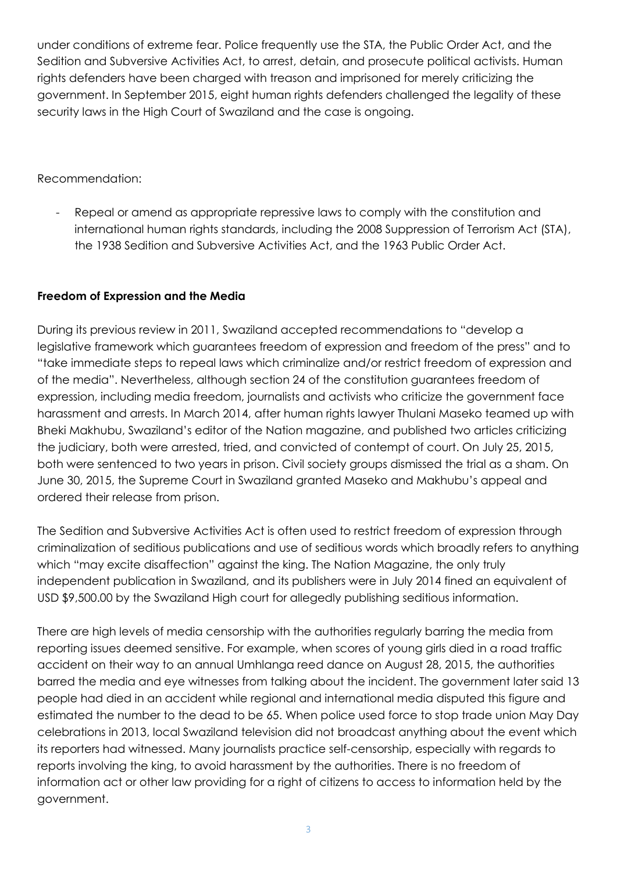under conditions of extreme fear. Police frequently use the STA, the Public Order Act, and the Sedition and Subversive Activities Act, to arrest, detain, and prosecute political activists. Human rights defenders have been charged with treason and imprisoned for merely criticizing the government. In September 2015, eight human rights defenders challenged the legality of these security laws in the High Court of Swaziland and the case is ongoing.

Recommendation:

Repeal or amend as appropriate repressive laws to comply with the constitution and international human rights standards, including the 2008 Suppression of Terrorism Act (STA), the 1938 Sedition and Subversive Activities Act, and the 1963 Public Order Act.

# **Freedom of Expression and the Media**

During its previous review in 2011, Swaziland accepted recommendations to "develop a legislative framework which guarantees freedom of expression and freedom of the press" and to "take immediate steps to repeal laws which criminalize and/or restrict freedom of expression and of the media". Nevertheless, although section 24 of the constitution guarantees freedom of expression, including media freedom, journalists and activists who criticize the government face harassment and arrests. In March 2014, after human rights lawyer Thulani Maseko teamed up with Bheki Makhubu, Swaziland's editor of the Nation magazine, and published two articles criticizing the judiciary, both were arrested, tried, and convicted of contempt of court. On July 25, 2015, both were sentenced to two years in prison. Civil society groups dismissed the trial as a sham. On June 30, 2015, the Supreme Court in Swaziland granted Maseko and Makhubu's appeal and ordered their release from prison.

The Sedition and Subversive Activities Act is often used to restrict freedom of expression through criminalization of seditious publications and use of seditious words which broadly refers to anything which "may excite disaffection" against the king. The Nation Magazine, the only truly independent publication in Swaziland, and its publishers were in July 2014 fined an equivalent of USD \$9,500.00 by the Swaziland High court for allegedly publishing seditious information.

There are high levels of media censorship with the authorities regularly barring the media from reporting issues deemed sensitive. For example, when scores of young girls died in a road traffic accident on their way to an annual Umhlanga reed dance on August 28, 2015, the authorities barred the media and eye witnesses from talking about the incident. The government later said 13 people had died in an accident while regional and international media disputed this figure and estimated the number to the dead to be 65. When police used force to stop trade union May Day celebrations in 2013, local Swaziland television did not broadcast anything about the event which its reporters had witnessed. Many journalists practice self-censorship, especially with regards to reports involving the king, to avoid harassment by the authorities. There is no freedom of information act or other law providing for a right of citizens to access to information held by the government.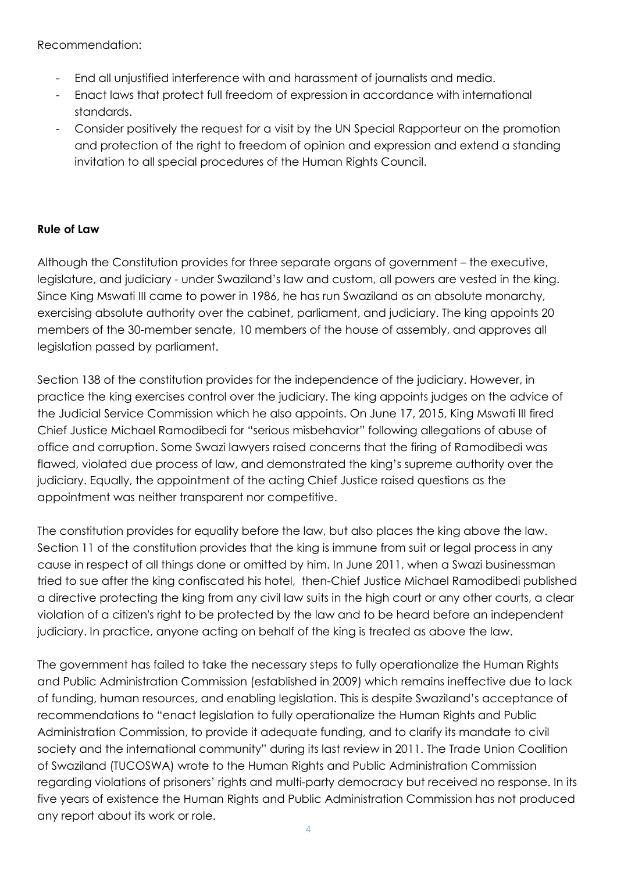Recommendation:

- End all unjustified interference with and harassment of journalists and media.
- Enact laws that protect full freedom of expression in accordance with international standards.
- Consider positively the request for a visit by the UN Special Rapporteur on the promotion and protection of the right to freedom of opinion and expression and extend a standing invitation to all special procedures of the Human Rights Council.

# **Rule of Law**

Although the Constitution provides for three separate organs of government – the executive, legislature, and judiciary - under Swaziland's law and custom, all powers are vested in the king. Since King Mswati III came to power in 1986, he has run Swaziland as an absolute monarchy, exercising absolute authority over the cabinet, parliament, and judiciary. The king appoints 20 members of the 30-member senate, 10 members of the house of assembly, and approves all legislation passed by parliament.

Section 138 of the constitution provides for the independence of the judiciary. However, in practice the king exercises control over the judiciary. The king appoints judges on the advice of the Judicial Service Commission which he also appoints. On June 17, 2015, King Mswati III fired Chief Justice Michael Ramodibedi for "serious misbehavior" following allegations of abuse of office and corruption. Some Swazi lawyers raised concerns that the firing of Ramodibedi was flawed, violated due process of law, and demonstrated the king's supreme authority over the judiciary. Equally, the appointment of the acting Chief Justice raised questions as the appointment was neither transparent nor competitive.

The constitution provides for equality before the law, but also places the king above the law. Section 11 of the constitution provides that the king is immune from suit or legal process in any cause in respect of all things done or omitted by him. In June 2011, when a Swazi businessman tried to sue after the king confiscated his hotel, then-Chief Justice Michael Ramodibedi published a directive protecting the king from any civil law suits in the high court or any other courts, a clear violation of a citizen's right to be protected by the law and to be heard before an independent judiciary. In practice, anyone acting on behalf of the king is treated as above the law.

The government has failed to take the necessary steps to fully operationalize the Human Rights and Public Administration Commission (established in 2009) which remains ineffective due to lack of funding, human resources, and enabling legislation. This is despite Swaziland's acceptance of recommendations to "enact legislation to fully operationalize the Human Rights and Public Administration Commission, to provide it adequate funding, and to clarify its mandate to civil society and the international community" during its last review in 2011. The Trade Union Coalition of Swaziland (TUCOSWA) wrote to the Human Rights and Public Administration Commission regarding violations of prisoners' rights and multi-party democracy but received no response. In its five years of existence the Human Rights and Public Administration Commission has not produced any report about its work or role.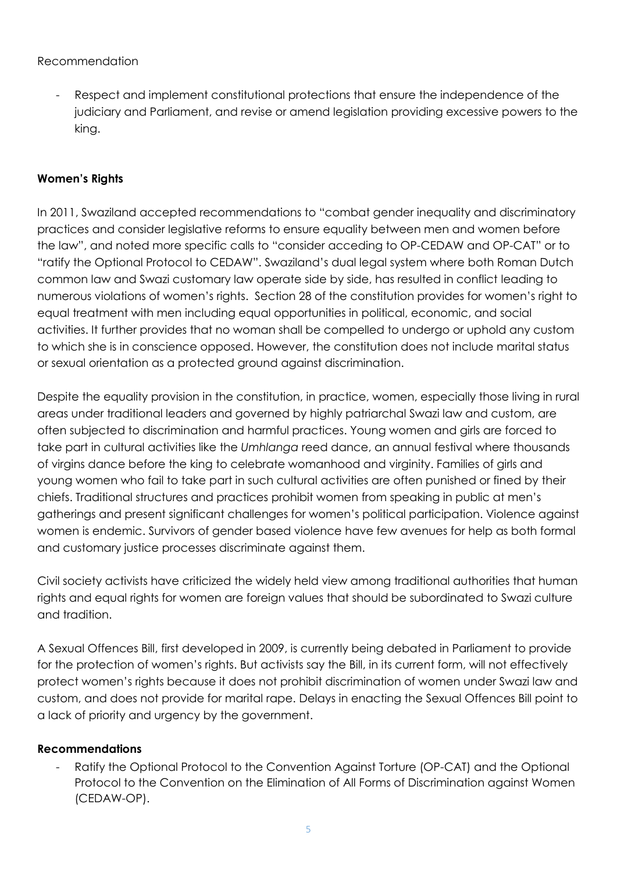## Recommendation

Respect and implement constitutional protections that ensure the independence of the judiciary and Parliament, and revise or amend legislation providing excessive powers to the king.

## **Women's Rights**

In 2011, Swaziland accepted recommendations to "combat gender inequality and discriminatory practices and consider legislative reforms to ensure equality between men and women before the law", and noted more specific calls to "consider acceding to OP-CEDAW and OP-CAT" or to "ratify the Optional Protocol to CEDAW". Swaziland's dual legal system where both Roman Dutch common law and Swazi customary law operate side by side, has resulted in conflict leading to numerous violations of women's rights. Section 28 of the constitution provides for women's right to equal treatment with men including equal opportunities in political, economic, and social activities. It further provides that no woman shall be compelled to undergo or uphold any custom to which she is in conscience opposed. However, the constitution does not include marital status or sexual orientation as a protected ground against discrimination.

Despite the equality provision in the constitution, in practice, women, especially those living in rural areas under traditional leaders and governed by highly patriarchal Swazi law and custom, are often subjected to discrimination and harmful practices. Young women and girls are forced to take part in cultural activities like the *Umhlanga* reed dance, an annual festival where thousands of virgins dance before the king to celebrate womanhood and virginity. Families of girls and young women who fail to take part in such cultural activities are often punished or fined by their chiefs. Traditional structures and practices prohibit women from speaking in public at men's gatherings and present significant challenges for women's political participation. Violence against women is endemic. Survivors of gender based violence have few avenues for help as both formal and customary justice processes discriminate against them.

Civil society activists have criticized the widely held view among traditional authorities that human rights and equal rights for women are foreign values that should be subordinated to Swazi culture and tradition.

A Sexual Offences Bill, first developed in 2009, is currently being debated in Parliament to provide for the protection of women's rights. But activists say the Bill, in its current form, will not effectively protect women's rights because it does not prohibit discrimination of women under Swazi law and custom, and does not provide for marital rape. Delays in enacting the Sexual Offences Bill point to a lack of priority and urgency by the government.

## **Recommendations**

Ratify the Optional Protocol to the Convention Against Torture (OP-CAT) and the Optional Protocol to the Convention on the Elimination of All Forms of Discrimination against Women (CEDAW-OP).